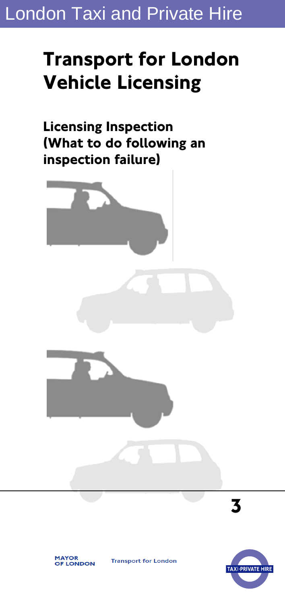## London Taxi and Private Hire

# **Transport for London Vehicle Licensing**

**Licensing Inspection (What to do following an inspection failure)** 







**Transport for London**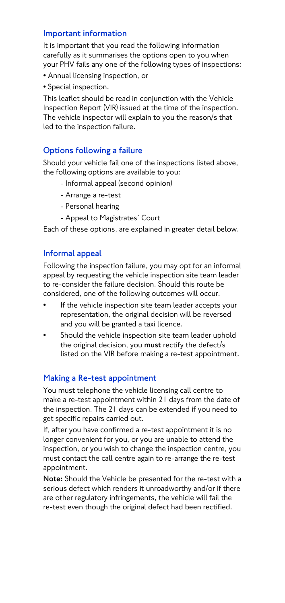#### **Important information**

It is important that you read the following information carefully as it summarises the options open to you when your PHV fails any one of the following types of inspections:

- Annual licensing inspection, or
- Special inspection.

This leaflet should be read in conjunction with the Vehicle Inspection Report (VIR) issued at the time of the inspection. The vehicle inspector will explain to you the reason/s that led to the inspection failure.

## **Options following a failure**

Should your vehicle fail one of the inspections listed above, the following options are available to you:

- Informal appeal (second opinion)
- Arrange a re-test
- Personal hearing
- Appeal to Magistrates' Court

Each of these options, are explained in greater detail below.

#### **Informal appeal**

Following the inspection failure, you may opt for an informal appeal by requesting the vehicle inspection site team leader to re-consider the failure decision. Should this route be considered, one of the following outcomes will occur.

- If the vehicle inspection site team leader accepts your representation, the original decision will be reversed and you will be granted a taxi licence.
- Should the vehicle inspection site team leader uphold the original decision, you **must** rectify the defect/s listed on the VIR before making a re-test appointment.

## **Making a Re-test appointment**

You must telephone the vehicle licensing call centre to make a re-test appointment within 21 days from the date of the inspection. The 21 days can be extended if you need to get specific repairs carried out.

If, after you have confirmed a re-test appointment it is no longer convenient for you, or you are unable to attend the inspection, or you wish to change the inspection centre, you must contact the call centre again to re-arrange the re-test appointment.

**Note:** Should the Vehicle be presented for the re-test with a serious defect which renders it unroadworthy and/or if there are other regulatory infringements, the vehicle will fail the re-test even though the original defect had been rectified.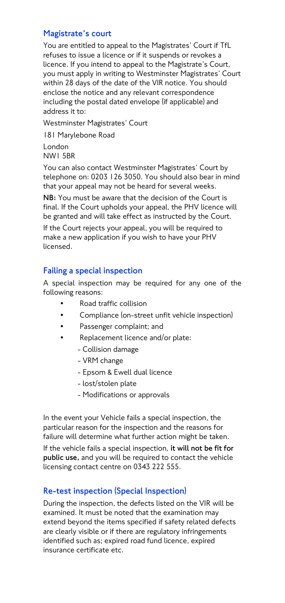## **Magistrate's court**

You are entitled to appeal to the Magistrates' Court if TfL refuses to issue a licence or if it suspends or revokes a licence. If you intend to appeal to the Magistrate's Court, you must apply in writing to Westminster Magistrates' Court within 28 days of the date of the VIR notice. You should enclose the notice and any relevant correspondence including the postal dated envelope (if applicable) and address it to:

Westminster Magistrates' Court

181 Marylebone Road

London NW1 5BR

You can also contact Westminster Magistrates' Court by telephone on: 0203 126 3050. You should also bear in mind that your appeal may not be heard for several weeks.

**NB:** You must be aware that the decision of the Court is final. If the Court upholds your appeal, the PHV licence will be granted and will take effect as instructed by the Court.

If the Court rejects your appeal, you will be required to make a new application if you wish to have your PHV licensed.

## **Failing a special inspection**

A special inspection may be required for any one of the following reasons:

- Road traffic collision
- Compliance (on-street unfit vehicle inspection)
- Passenger complaint; and
- Replacement licence and/or plate:
	- Collision damage
	- VRM change
	- Epsom & Ewell dual licence
	- lost/stolen plate
	- Modifications or approvals

In the event your Vehicle fails a special inspection, the particular reason for the inspection and the reasons for failure will determine what further action might be taken.

If the vehicle fails a special inspection, **it will not be fit for public use,** and you will be required to contact the vehicle licensing contact centre on 0343 222 555.

## **Re-test inspection (Special Inspection)**

During the inspection, the defects listed on the VIR will be examined. It must be noted that the examination may extend beyond the items specified if safety related defects are clearly visible or if there are regulatory infringements identified such as; expired road fund licence, expired insurance certificate etc.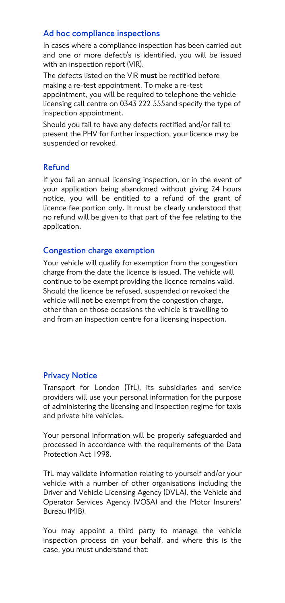#### **Ad hoc compliance inspections**

In cases where a compliance inspection has been carried out and one or more defect/s is identified, you will be issued with an inspection report (VIR).

The defects listed on the VIR **must** be rectified before making a re-test appointment. To make a re-test appointment, you will be required to telephone the vehicle licensing call centre on 0343 222 555and specify the type of inspection appointment.

Should you fail to have any defects rectified and/or fail to present the PHV for further inspection, your licence may be suspended or revoked.

#### **Refund**

If you fail an annual licensing inspection, or in the event of your application being abandoned without giving 24 hours notice, you will be entitled to a refund of the grant of licence fee portion only. It must be clearly understood that no refund will be given to that part of the fee relating to the application.

#### **Congestion charge exemption**

Your vehicle will qualify for exemption from the congestion charge from the date the licence is issued. The vehicle will continue to be exempt providing the licence remains valid. Should the licence be refused, suspended or revoked the vehicle will **not** be exempt from the congestion charge, other than on those occasions the vehicle is travelling to and from an inspection centre for a licensing inspection.

## **Privacy Notice**

Transport for London (TfL), its subsidiaries and service providers will use your personal information for the purpose of administering the licensing and inspection regime for taxis and private hire vehicles.

Your personal information will be properly safeguarded and processed in accordance with the requirements of the Data Protection Act 1998.

TfL may validate information relating to yourself and/or your vehicle with a number of other organisations including the Driver and Vehicle Licensing Agency (DVLA), the Vehicle and Operator Services Agency (VOSA) and the Motor Insurers' Bureau (MIB).

You may appoint a third party to manage the vehicle inspection process on your behalf, and where this is the case, you must understand that: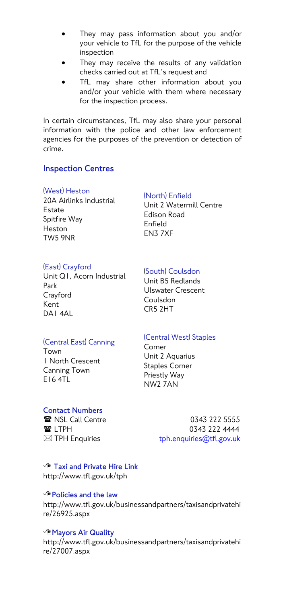- They may pass information about you and/or your vehicle to TfL for the purpose of the vehicle inspection
- They may receive the results of any validation checks carried out at TfL's request and
- TfL may share other information about you and/or your vehicle with them where necessary for the inspection process.

In certain circumstances, TfL may also share your personal information with the police and other law enforcement agencies for the purposes of the prevention or detection of crime.

#### **Inspection Centres**

#### (West) Heston

20A Airlinks Industrial Estate Spitfire Way Heston TW5 9NR

#### (North) Enfield

Unit 2 Watermill Centre Edison Road Enfield EN3 7XF

#### (East) Crayford

Unit Q1, Acorn Industrial Park Crayford Kent DA1 4AL

## (South) Coulsdon

Unit B5 Redlands Ulswater Crescent Coulsdon CR5 2HT

## (Central East) Canning

Town 1 North Crescent Canning Town  $F16ATL$ 

#### (Central West) Staples

Corner Unit 2 Aquarius Staples Corner Priestly Way NW2 7AN

#### **Contact Numbers**

**■ NSL Call Centre 0343 222 5555 ■ LTPH 0343 222 4444**  $\boxtimes$  TPH Enquiries [tph.enquiries@tfl.gov.uk](mailto:tph.enquiries@tfl.gov.uk)

 **Taxi and Private Hire Link** http://www.tfl.gov.uk/tph

#### **Policies and the law**

http://www.tfl.gov.uk/businessandpartners/taxisandprivatehi re/26925.aspx

#### **Mayors Air Quality**

http://www.tfl.gov.uk/businessandpartners/taxisandprivatehi re/27007.aspx